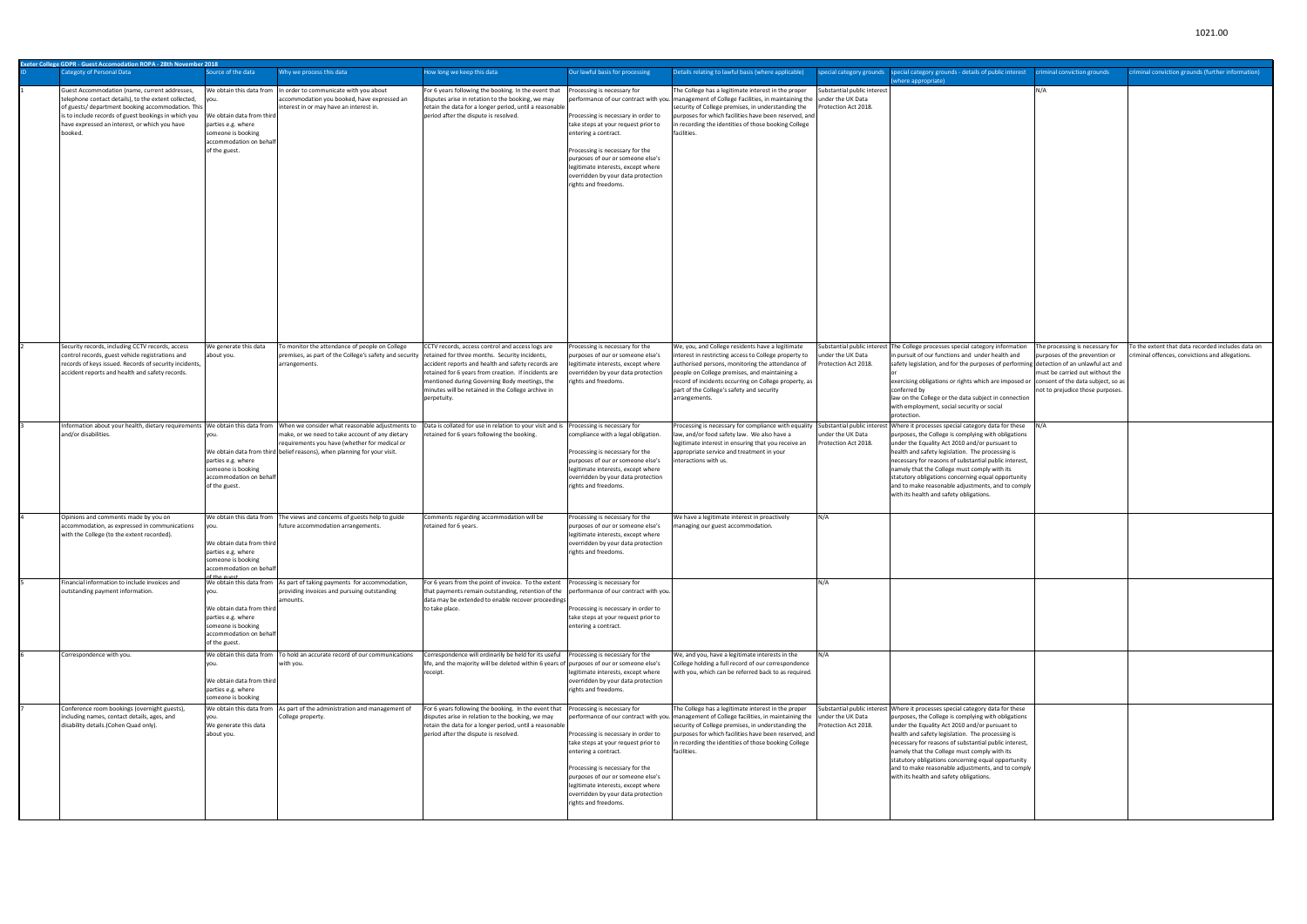| Exeter College GDPR - Guest Accomodation ROPA - 28th November 2018                                                                                                                                                                                                            |                                                                                                                                               |                                                                                                                                                                                                                                 |                                                                                                                                                                                                                                                                                      |                                                                                                                                                                                                                                                                                                               |                                                                                                                                                                                                                                                                                                                                                        |                                                     |                                                                                                                                                                                                                                                                                                                                                                                                                                                                                                            |                                                                                                                                                                                                                   |                                                                                                   |
|-------------------------------------------------------------------------------------------------------------------------------------------------------------------------------------------------------------------------------------------------------------------------------|-----------------------------------------------------------------------------------------------------------------------------------------------|---------------------------------------------------------------------------------------------------------------------------------------------------------------------------------------------------------------------------------|--------------------------------------------------------------------------------------------------------------------------------------------------------------------------------------------------------------------------------------------------------------------------------------|---------------------------------------------------------------------------------------------------------------------------------------------------------------------------------------------------------------------------------------------------------------------------------------------------------------|--------------------------------------------------------------------------------------------------------------------------------------------------------------------------------------------------------------------------------------------------------------------------------------------------------------------------------------------------------|-----------------------------------------------------|------------------------------------------------------------------------------------------------------------------------------------------------------------------------------------------------------------------------------------------------------------------------------------------------------------------------------------------------------------------------------------------------------------------------------------------------------------------------------------------------------------|-------------------------------------------------------------------------------------------------------------------------------------------------------------------------------------------------------------------|---------------------------------------------------------------------------------------------------|
| ategoty of Personal Data                                                                                                                                                                                                                                                      | ource of the data                                                                                                                             | Why we process this data                                                                                                                                                                                                        | How long we keep this data                                                                                                                                                                                                                                                           | Our lawful basis for processing                                                                                                                                                                                                                                                                               | Details relating to lawful basis (where applicable)                                                                                                                                                                                                                                                                                                    |                                                     | special category grounds special category grounds - details of public interest<br>where appropriate)                                                                                                                                                                                                                                                                                                                                                                                                       | criminal conviction grounds                                                                                                                                                                                       | criminal conviction grounds (further information)                                                 |
| Guest Accommodation (name, current addresses,<br>telephone contact details), to the extent collected,<br>of guests/department booking accommodation. Thi:<br>is to include records of guest bookings in which you<br>have expressed an interest, or which you have<br>booked. | We obtain this data from<br>We obtain data from third<br>parties e.g. where<br>someone is booking<br>accommodation on behalt<br>of the guest. | In order to communicate with you about<br>accommodation you booked, have expressed an<br>interest in or may have an interest in.                                                                                                | For 6 years following the booking. In the event that<br>disputes arise in retation to the booking, we may<br>retain the data for a longer period, until a reasonable<br>period after the dispute is resolved.                                                                        | Processing is necessary for<br>Processing is necessary in order to<br>take steps at your request prior to<br>entering a contract.<br>Processing is necessary for the<br>purposes of our or someone else's<br>legitimate interests, except where<br>overridden by your data protection<br>rights and freedoms. | The College has a legitimate interest in the proper<br>performance of our contract with you. management of College Facilities, in maintaining the under the UK Data<br>security of College premises, in understanding the<br>purposes for which facilities have been reserved, and<br>recording the identities of those booking College<br>facilities. | Substantial public interest<br>Protection Act 2018. |                                                                                                                                                                                                                                                                                                                                                                                                                                                                                                            | N/A                                                                                                                                                                                                               |                                                                                                   |
| Security records, including CCTV records, access<br>control records, guest vehicle registrations and<br>records of keys issued. Records of security incidents,<br>accident reports and health and safety records.                                                             | Ve generate this data<br>bout you.                                                                                                            | To monitor the attendance of people on College<br>premises, as part of the College's safety and security retained for three months. Security incidents,<br>arrangements.                                                        | CCTV records, access control and access logs are<br>accident reports and health and safety records are<br>retained for 6 years from creation. If incidents are<br>mentioned during Governing Body meetings, the<br>minutes will be retained in the College archive in<br>perpetuity. | Processing is necessary for the<br>purposes of our or someone else's<br>legitimate interests, except where<br>overridden by your data protection<br>rights and freedoms.                                                                                                                                      | We, you, and College residents have a legitimate<br>nterest in restricting access to College property to<br>authorised persons, monitoring the attendance of<br>people on College premises, and maintaining a<br>record of incidents occurring on College property, as<br>part of the College's safety and security<br>arrangements.                   | under the UK Data<br>Protection Act 2018.           | Substantial public interest The College processes special category information<br>pursuit of our functions and under health and<br>safety legislation, and for the purposes of performin<br>exercising obligations or rights which are imposed or<br>conferred by<br>law on the College or the data subject in connection<br>with employment, social security or social<br>protection.                                                                                                                     | The processing is necessary for<br>purposes of the prevention or<br>detection of an unlawful act and<br>must be carried out without the<br>consent of the data subject, so as<br>not to prejudice those purposes. | o the extent that data recorded includes data on<br>iminal offences, convictions and allegations. |
| Information about your health, dietary requirements We obtain this data from<br>and/or disabilities.                                                                                                                                                                          | parties e.g. where<br>someone is booking<br>accommodation on behalf<br>of the guest.                                                          | When we consider what reasonable adjustments to<br>make, or we need to take account of any dietary<br>requirements you have (whether for medical or<br>We obtain data from third belief reasons), when planning for your visit. | Data is collated for use in relation to your visit and is<br>retained for 6 years following the booking.                                                                                                                                                                             | Processing is necessary for<br>compliance with a legal obligation.<br>Processing is necessary for the<br>purposes of our or someone else's<br>legitimate interests, except where<br>overridden by your data protection<br>rights and freedoms.                                                                | Processing is necessary for compliance with equality<br>law, and/or food safety law. We also have a<br>legitimate interest in ensuring that you receive an<br>appropriate service and treatment in your<br>nteractions with us.                                                                                                                        | under the UK Data<br>Protection Act 2018.           | Substantial public interest Where it processes special category data for these<br>purposes, the College is complying with obligations<br>under the Equality Act 2010 and/or pursuant to<br>health and safety legislation. The processing is<br>necessary for reasons of substantial public interest,<br>namely that the College must comply with its<br>statutory obligations concerning equal opportunity<br>and to make reasonable adjustments, and to comply<br>with its health and safety obligations  |                                                                                                                                                                                                                   |                                                                                                   |
| Opinions and comments made by you on<br>accommodation, as expressed in communications<br>with the College (to the extent recorded).                                                                                                                                           | We obtain this data from<br>We obtain data from third<br>irties e.g. where<br>someone is booking<br>accommodation on behalt                   | The views and concerns of guests help to guide<br>future accommodation arrangements.                                                                                                                                            | Comments regarding accommodation will be<br>retained for 6 years.                                                                                                                                                                                                                    | Processing is necessary for the<br>purposes of our or someone else's<br>legitimate interests, except where<br>overridden by your data protection<br>ights and freedoms.                                                                                                                                       | We have a legitimate interest in proactively<br>nanaging our guest accommodation                                                                                                                                                                                                                                                                       | N/A                                                 |                                                                                                                                                                                                                                                                                                                                                                                                                                                                                                            |                                                                                                                                                                                                                   |                                                                                                   |
| Financial information to include invoices and<br>outstanding payment information.                                                                                                                                                                                             | /ou.<br>We obtain data from third<br>parties e.g. where<br>someone is booking<br>accommodation on behalf<br>of the guest.                     | We obtain this data from As part of taking payments for accommodation,<br>providing invoices and pursuing outstanding<br>amounts.                                                                                               | For 6 years from the point of invoice. To the extent Processing is necessary for<br>that payments remain outstanding, retention of the performance of our contract with you.<br>data may be extended to enable recover proceedings<br>to take place.                                 | Processing is necessary in order to<br>take steps at your request prior to<br>entering a contract.                                                                                                                                                                                                            |                                                                                                                                                                                                                                                                                                                                                        | N/A                                                 |                                                                                                                                                                                                                                                                                                                                                                                                                                                                                                            |                                                                                                                                                                                                                   |                                                                                                   |
| Correspondence with you.                                                                                                                                                                                                                                                      | We obtain this data from<br>We obtain data from third<br>parties e.g. where<br>someone is booking                                             | To hold an accurate record of our communications<br>with you.                                                                                                                                                                   | Correspondence will ordinarily be held for its useful<br>life, and the majority will be deleted within 6 years of purposes of our or someone else's<br>receipt.                                                                                                                      | Processing is necessary for the<br>legitimate interests, except where<br>overridden by your data protection<br>rights and freedoms.                                                                                                                                                                           | We, and you, have a legitimate interests in the<br>College holding a full record of our correspondence<br>with you, which can be referred back to as required.                                                                                                                                                                                         | N/A                                                 |                                                                                                                                                                                                                                                                                                                                                                                                                                                                                                            |                                                                                                                                                                                                                   |                                                                                                   |
| Conference room bookings (overnight guests),<br>including names, contact details, ages, and<br>disability details.(Cohen Quad only).                                                                                                                                          | We obtain this data from<br>We generate this data<br>about you.                                                                               | As part of the administration and management of<br>College property.                                                                                                                                                            | For 6 years following the booking. In the event that<br>disputes arise in relation to the booking, we may<br>retain the data for a longer period, until a reasonable<br>period after the dispute is resolved.                                                                        | Processing is necessary for<br>Processing is necessary in order to<br>take steps at your request prior to<br>entering a contract.<br>Processing is necessary for the<br>purposes of our or someone else's<br>legitimate interests, except where<br>overridden by your data protection<br>rights and freedoms. | The College has a legitimate interest in the proper<br>performance of our contract with you. management of College facilities, in maintaining the under the UK Data<br>security of College premises, in understanding the<br>purposes for which facilities have been reserved, and<br>recording the identities of those booking College<br>facilities. | Protection Act 2018.                                | Substantial public interest Where it processes special category data for these<br>purposes, the College is complying with obligations<br>under the Equality Act 2010 and/or pursuant to<br>health and safety legislation. The processing is<br>necessary for reasons of substantial public interest,<br>namely that the College must comply with its<br>statutory obligations concerning equal opportunity<br>and to make reasonable adjustments, and to comply<br>with its health and safety obligations. |                                                                                                                                                                                                                   |                                                                                                   |